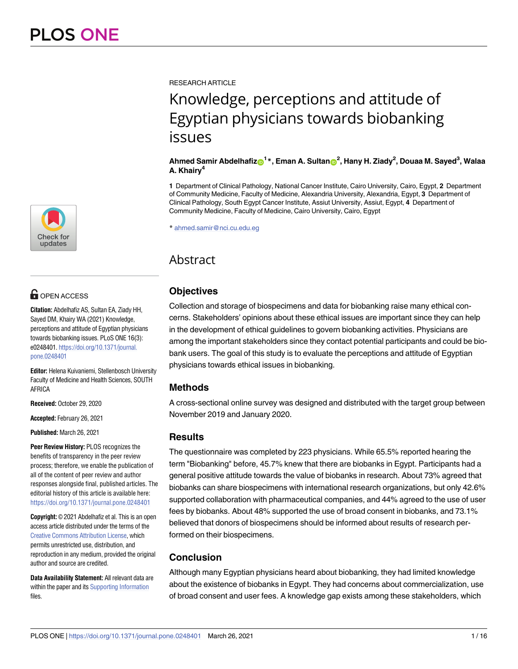

# **OPEN ACCESS**

**Citation:** Abdelhafiz AS, Sultan EA, Ziady HH, Sayed DM, Khairy WA (2021) Knowledge, perceptions and attitude of Egyptian physicians towards biobanking issues. PLoS ONE 16(3): e0248401. [https://doi.org/10.1371/journal.](https://doi.org/10.1371/journal.pone.0248401) [pone.0248401](https://doi.org/10.1371/journal.pone.0248401)

**Editor:** Helena Kuivaniemi, Stellenbosch University Faculty of Medicine and Health Sciences, SOUTH AFRICA

**Received:** October 29, 2020

**Accepted:** February 26, 2021

**Published:** March 26, 2021

**Peer Review History:** PLOS recognizes the benefits of transparency in the peer review process; therefore, we enable the publication of all of the content of peer review and author responses alongside final, published articles. The editorial history of this article is available here: <https://doi.org/10.1371/journal.pone.0248401>

**Copyright:** © 2021 Abdelhafiz et al. This is an open access article distributed under the terms of the Creative Commons [Attribution](http://creativecommons.org/licenses/by/4.0/) License, which permits unrestricted use, distribution, and reproduction in any medium, provided the original author and source are credited.

**Data Availability Statement:** All relevant data are within the paper and its Supporting [Information](#page-11-0) files.

RESEARCH ARTICLE

# Knowledge, perceptions and attitude of Egyptian physicians towards biobanking issues

#### Ahmed Samir Abdelhafiz**o<sup>1</sup> \*, Eman A. Sultano<sup>2</sup>, Hany H. Ziady<sup>2</sup>, Douaa M. Sayed<sup>3</sup>, Walaa A. Khairy4**

**1** Department of Clinical Pathology, National Cancer Institute, Cairo University, Cairo, Egypt, **2** Department of Community Medicine, Faculty of Medicine, Alexandria University, Alexandria, Egypt, **3** Department of Clinical Pathology, South Egypt Cancer Institute, Assiut University, Assiut, Egypt, **4** Department of Community Medicine, Faculty of Medicine, Cairo University, Cairo, Egypt

\* ahmed.samir@nci.cu.edu.eg

# Abstract

# **Objectives**

Collection and storage of biospecimens and data for biobanking raise many ethical concerns. Stakeholders' opinions about these ethical issues are important since they can help in the development of ethical guidelines to govern biobanking activities. Physicians are among the important stakeholders since they contact potential participants and could be biobank users. The goal of this study is to evaluate the perceptions and attitude of Egyptian physicians towards ethical issues in biobanking.

# **Methods**

A cross-sectional online survey was designed and distributed with the target group between November 2019 and January 2020.

# **Results**

The questionnaire was completed by 223 physicians. While 65.5% reported hearing the term "Biobanking" before, 45.7% knew that there are biobanks in Egypt. Participants had a general positive attitude towards the value of biobanks in research. About 73% agreed that biobanks can share biospecimens with international research organizations, but only 42.6% supported collaboration with pharmaceutical companies, and 44% agreed to the use of user fees by biobanks. About 48% supported the use of broad consent in biobanks, and 73.1% believed that donors of biospecimens should be informed about results of research performed on their biospecimens.

# **Conclusion**

Although many Egyptian physicians heard about biobanking, they had limited knowledge about the existence of biobanks in Egypt. They had concerns about commercialization, use of broad consent and user fees. A knowledge gap exists among these stakeholders, which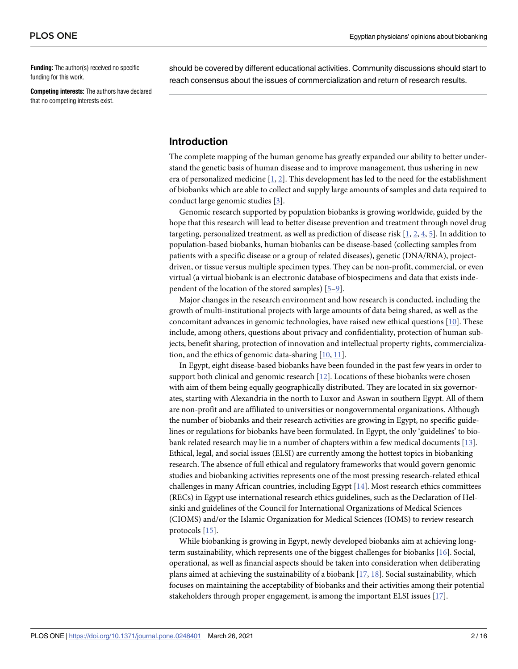<span id="page-1-0"></span>**Funding:** The author(s) received no specific funding for this work.

**Competing interests:** The authors have declared that no competing interests exist.

should be covered by different educational activities. Community discussions should start to reach consensus about the issues of commercialization and return of research results.

## **Introduction**

The complete mapping of the human genome has greatly expanded our ability to better understand the genetic basis of human disease and to improve management, thus ushering in new era of personalized medicine [[1,](#page-12-0) [2\]](#page-12-0). This development has led to the need for the establishment of biobanks which are able to collect and supply large amounts of samples and data required to conduct large genomic studies [\[3](#page-12-0)].

Genomic research supported by population biobanks is growing worldwide, guided by the hope that this research will lead to better disease prevention and treatment through novel drug targeting, personalized treatment, as well as prediction of disease risk  $[1, 2, 4, 5]$  $[1, 2, 4, 5]$  $[1, 2, 4, 5]$  $[1, 2, 4, 5]$  $[1, 2, 4, 5]$  $[1, 2, 4, 5]$  $[1, 2, 4, 5]$ . In addition to population-based biobanks, human biobanks can be disease-based (collecting samples from patients with a specific disease or a group of related diseases), genetic (DNA/RNA), projectdriven, or tissue versus multiple specimen types. They can be non-profit, commercial, or even virtual (a virtual biobank is an electronic database of biospecimens and data that exists independent of the location of the stored samples) [\[5–9\]](#page-12-0).

Major changes in the research environment and how research is conducted, including the growth of multi-institutional projects with large amounts of data being shared, as well as the concomitant advances in genomic technologies, have raised new ethical questions [\[10\]](#page-12-0). These include, among others, questions about privacy and confidentiality, protection of human subjects, benefit sharing, protection of innovation and intellectual property rights, commercialization, and the ethics of genomic data-sharing [[10](#page-12-0), [11](#page-12-0)].

In Egypt, eight disease-based biobanks have been founded in the past few years in order to support both clinical and genomic research [[12](#page-12-0)]. Locations of these biobanks were chosen with aim of them being equally geographically distributed. They are located in six governorates, starting with Alexandria in the north to Luxor and Aswan in southern Egypt. All of them are non-profit and are affiliated to universities or nongovernmental organizations. Although the number of biobanks and their research activities are growing in Egypt, no specific guidelines or regulations for biobanks have been formulated. In Egypt, the only 'guidelines' to biobank related research may lie in a number of chapters within a few medical documents [\[13\]](#page-12-0). Ethical, legal, and social issues (ELSI) are currently among the hottest topics in biobanking research. The absence of full ethical and regulatory frameworks that would govern genomic studies and biobanking activities represents one of the most pressing research-related ethical challenges in many African countries, including Egypt [[14\]](#page-12-0). Most research ethics committees (RECs) in Egypt use international research ethics guidelines, such as the Declaration of Helsinki and guidelines of the Council for International Organizations of Medical Sciences (CIOMS) and/or the Islamic Organization for Medical Sciences (IOMS) to review research protocols [\[15\]](#page-12-0).

While biobanking is growing in Egypt, newly developed biobanks aim at achieving longterm sustainability, which represents one of the biggest challenges for biobanks [\[16\]](#page-12-0). Social, operational, as well as financial aspects should be taken into consideration when deliberating plans aimed at achieving the sustainability of a biobank [[17](#page-12-0), [18](#page-13-0)]. Social sustainability, which focuses on maintaining the acceptability of biobanks and their activities among their potential stakeholders through proper engagement, is among the important ELSI issues [[17](#page-12-0)].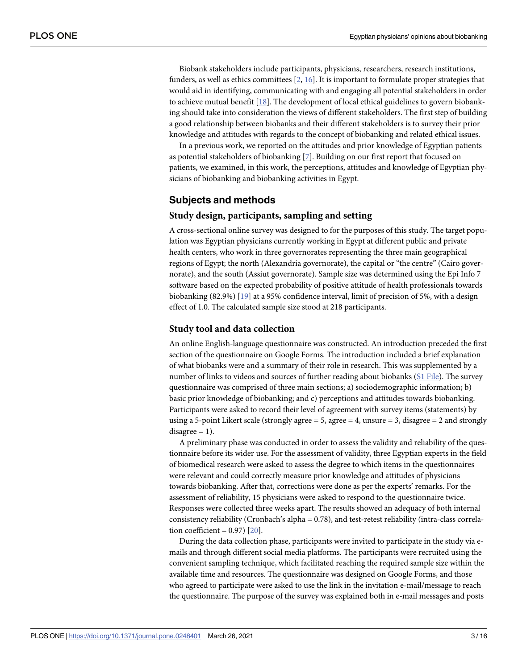<span id="page-2-0"></span>Biobank stakeholders include participants, physicians, researchers, research institutions, funders, as well as ethics committees [[2](#page-12-0), [16](#page-12-0)]. It is important to formulate proper strategies that would aid in identifying, communicating with and engaging all potential stakeholders in order to achieve mutual benefit [[18](#page-13-0)]. The development of local ethical guidelines to govern biobanking should take into consideration the views of different stakeholders. The first step of building a good relationship between biobanks and their different stakeholders is to survey their prior knowledge and attitudes with regards to the concept of biobanking and related ethical issues.

In a previous work, we reported on the attitudes and prior knowledge of Egyptian patients as potential stakeholders of biobanking [[7\]](#page-12-0). Building on our first report that focused on patients, we examined, in this work, the perceptions, attitudes and knowledge of Egyptian physicians of biobanking and biobanking activities in Egypt.

#### **Subjects and methods**

#### **Study design, participants, sampling and setting**

A cross-sectional online survey was designed to for the purposes of this study. The target population was Egyptian physicians currently working in Egypt at different public and private health centers, who work in three governorates representing the three main geographical regions of Egypt; the north (Alexandria governorate), the capital or "the centre" (Cairo governorate), and the south (Assiut governorate). Sample size was determined using the Epi Info 7 software based on the expected probability of positive attitude of health professionals towards biobanking (82.9%) [\[19\]](#page-13-0) at a 95% confidence interval, limit of precision of 5%, with a design effect of 1.0. The calculated sample size stood at 218 participants.

#### **Study tool and data collection**

An online English-language questionnaire was constructed. An introduction preceded the first section of the questionnaire on Google Forms. The introduction included a brief explanation of what biobanks were and a summary of their role in research. This was supplemented by a number of links to videos and sources of further reading about biobanks (S1 [File\)](#page-11-0). The survey questionnaire was comprised of three main sections; a) sociodemographic information; b) basic prior knowledge of biobanking; and c) perceptions and attitudes towards biobanking. Participants were asked to record their level of agreement with survey items (statements) by using a 5-point Likert scale (strongly agree  $= 5$ , agree  $= 4$ , unsure  $= 3$ , disagree  $= 2$  and strongly  $disagree = 1$ ).

A preliminary phase was conducted in order to assess the validity and reliability of the questionnaire before its wider use. For the assessment of validity, three Egyptian experts in the field of biomedical research were asked to assess the degree to which items in the questionnaires were relevant and could correctly measure prior knowledge and attitudes of physicians towards biobanking. After that, corrections were done as per the experts' remarks. For the assessment of reliability, 15 physicians were asked to respond to the questionnaire twice. Responses were collected three weeks apart. The results showed an adequacy of both internal consistency reliability (Cronbach's alpha = 0.78), and test-retest reliability (intra-class correlation coefficient =  $0.97$  [ $20$ ].

During the data collection phase, participants were invited to participate in the study via emails and through different social media platforms. The participants were recruited using the convenient sampling technique, which facilitated reaching the required sample size within the available time and resources. The questionnaire was designed on Google Forms, and those who agreed to participate were asked to use the link in the invitation e-mail/message to reach the questionnaire. The purpose of the survey was explained both in e-mail messages and posts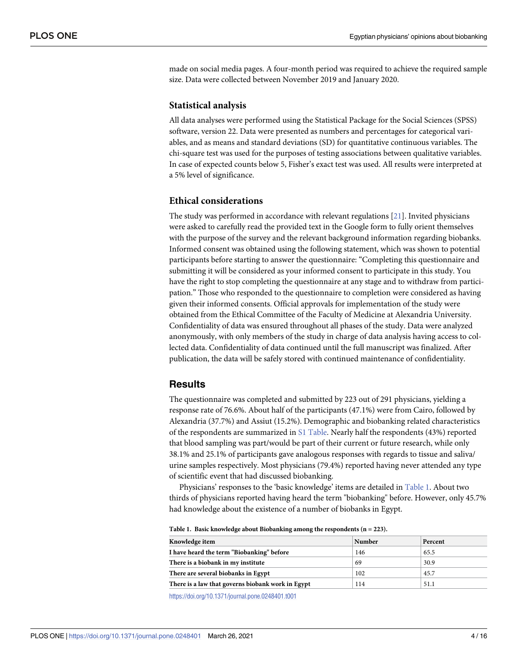<span id="page-3-0"></span>made on social media pages. A four-month period was required to achieve the required sample size. Data were collected between November 2019 and January 2020.

#### **Statistical analysis**

All data analyses were performed using the Statistical Package for the Social Sciences (SPSS) software, version 22. Data were presented as numbers and percentages for categorical variables, and as means and standard deviations (SD) for quantitative continuous variables. The chi-square test was used for the purposes of testing associations between qualitative variables. In case of expected counts below 5, Fisher's exact test was used. All results were interpreted at a 5% level of significance.

#### **Ethical considerations**

The study was performed in accordance with relevant regulations [\[21\]](#page-13-0). Invited physicians were asked to carefully read the provided text in the Google form to fully orient themselves with the purpose of the survey and the relevant background information regarding biobanks. Informed consent was obtained using the following statement, which was shown to potential participants before starting to answer the questionnaire: "Completing this questionnaire and submitting it will be considered as your informed consent to participate in this study. You have the right to stop completing the questionnaire at any stage and to withdraw from participation." Those who responded to the questionnaire to completion were considered as having given their informed consents. Official approvals for implementation of the study were obtained from the Ethical Committee of the Faculty of Medicine at Alexandria University. Confidentiality of data was ensured throughout all phases of the study. Data were analyzed anonymously, with only members of the study in charge of data analysis having access to collected data. Confidentiality of data continued until the full manuscript was finalized. After publication, the data will be safely stored with continued maintenance of confidentiality.

#### **Results**

The questionnaire was completed and submitted by 223 out of 291 physicians, yielding a response rate of 76.6%. About half of the participants (47.1%) were from Cairo, followed by Alexandria (37.7%) and Assiut (15.2%). Demographic and biobanking related characteristics of the respondents are summarized in S1 [Table.](#page-11-0) Nearly half the respondents (43%) reported that blood sampling was part/would be part of their current or future research, while only 38.1% and 25.1% of participants gave analogous responses with regards to tissue and saliva/ urine samples respectively. Most physicians (79.4%) reported having never attended any type of scientific event that had discussed biobanking.

Physicians' responses to the 'basic knowledge' items are detailed in Table 1. About two thirds of physicians reported having heard the term "biobanking" before. However, only 45.7% had knowledge about the existence of a number of biobanks in Egypt.

| Knowledge item                                    | Number | Percent |
|---------------------------------------------------|--------|---------|
| I have heard the term "Biobanking" before         | 146    | 65.5    |
| There is a biobank in my institute                | 69     | 30.9    |
| There are several biobanks in Egypt               | 102    | 45.7    |
| There is a law that governs biobank work in Egypt | 114    | 51.1    |

**Table 1. Basic knowledge about Biobanking among the respondents (n = 223).**

<https://doi.org/10.1371/journal.pone.0248401.t001>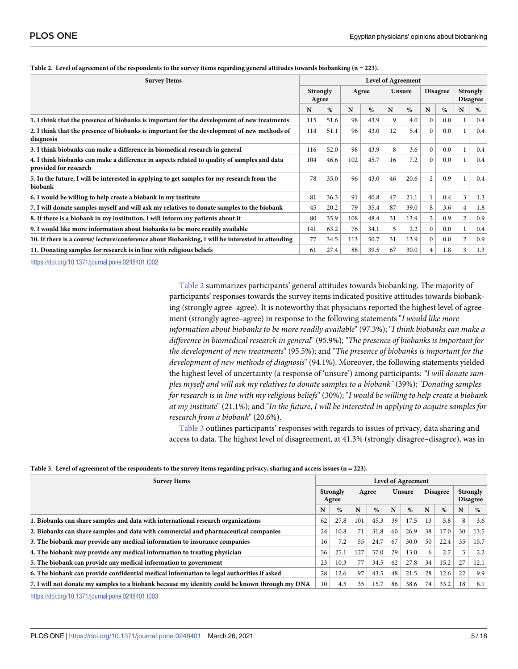| <b>Survey Items</b>                                                                                                  | <b>Level of Agreement</b> |                          |       |      |        |      |                 |      |   |                                    |  |  |  |
|----------------------------------------------------------------------------------------------------------------------|---------------------------|--------------------------|-------|------|--------|------|-----------------|------|---|------------------------------------|--|--|--|
|                                                                                                                      |                           | <b>Strongly</b><br>Agree | Agree |      | Unsure |      | <b>Disagree</b> |      |   | <b>Strongly</b><br><b>Disagree</b> |  |  |  |
|                                                                                                                      | N                         | $\%$                     | N     | $\%$ | N      | $\%$ | N               | $\%$ | N | %                                  |  |  |  |
| 1. I think that the presence of biobanks is important for the development of new treatments                          | 115                       | 51.6                     | 98    | 43.9 | 9      | 4.0  | $\Omega$        | 0.0  |   | 0.4                                |  |  |  |
| 2. I think that the presence of biobanks is important for the development of new methods of<br>diagnosis             | 114                       | 51.1                     | 96    | 43.0 | 12     | 5.4  | $\mathbf{0}$    | 0.0  |   | 0.4                                |  |  |  |
| 3. I think biobanks can make a difference in biomedical research in general                                          | 116                       | 52.0                     | 98    | 43.9 | 8      | 3.6  | $\Omega$        | 0.0  |   | 0.4                                |  |  |  |
| 4. I think biobanks can make a difference in aspects related to quality of samples and data<br>provided for research | 104                       | 46.6                     | 102   | 45.7 | 16     | 7.2  | $\mathbf{0}$    | 0.0  |   | 0.4                                |  |  |  |
| 5. In the future, I will be interested in applying to get samples for my research from the<br>biobank                | 78                        | 35.0                     | 96    | 43.0 | 46     | 20.6 | $\overline{2}$  | 0.9  |   | 0.4                                |  |  |  |
| 6. I would be willing to help create a biobank in my institute                                                       | 81                        | 36.3                     | 91    | 40.8 | 47     | 21.1 |                 | 0.4  | 3 | 1.3                                |  |  |  |
| 7. I will donate samples myself and will ask my relatives to donate samples to the biobank                           | 45                        | 20.2                     | 79    | 35.4 | 87     | 39.0 | 8               | 3.6  | 4 | 1.8                                |  |  |  |
| 8. If there is a biobank in my institution, I will inform my patients about it                                       | 80                        | 35.9                     | 108   | 48.4 | 31     | 13.9 | $\overline{2}$  | 0.9  | 2 | 0.9                                |  |  |  |
| 9. I would like more information about biobanks to be more readily available                                         | 141                       | 63.2                     | 76    | 34.1 | 5      | 2.2  | $\mathbf{0}$    | 0.0  |   | 0.4                                |  |  |  |
| 10. If there is a course/lecture/conference about Biobanking, I will be interested in attending                      | 77                        | 34.5                     | 113   | 50.7 | 31     | 13.9 | $\mathbf{0}$    | 0.0  | 2 | 0.9                                |  |  |  |
| 11. Donating samples for research is in line with religious beliefs                                                  | 61                        | 27.4                     | 88    | 39.5 | 67     | 30.0 | 4               | 1.8  | 3 | 1.3                                |  |  |  |

#### <span id="page-4-0"></span>Table 2. Level of agreement of the respondents to the survey items regarding general attitudes towards biobanking  $(n = 223)$ .

<https://doi.org/10.1371/journal.pone.0248401.t002>

Table 2 summarizes participants' general attitudes towards biobanking. The majority of participants' responses towards the survey items indicated positive attitudes towards biobanking (strongly agree–agree). It is noteworthy that physicians reported the highest level of agreement (strongly agree–agree) in response to the following statements "*I would like more information about biobanks to be more readily available*" (97.3%); "*I think biobanks can make a difference in biomedical research in general*" (95.9%); "*The presence of biobanks is important for the development of new treatments*" (95.5%); and "*The presence of biobanks is important for the development of new methods of diagnosis*" (94.1%). Moreover, the following statements yielded the highest level of uncertainty (a response of 'unsure') among participants: *"I will donate samples myself and will ask my relatives to donate samples to a biobank"* (39%); "*Donating samples* for research is in line with my religious beliefs" (30%); "I would be willing to help create a biobank *at my institute*" (21.1%); and "*In the future*, *I will be interested in applying to acquire samples for research from a biobank*" (20.6%).

Table 3 outlines participants' responses with regards to issues of privacy, data sharing and access to data. The highest level of disagreement, at 41.3% (strongly disagree–disagree), was in

|  |  |  |  |  |  | Table 3. Level of agreement of the respondents to the survey items regarding privacy, sharing and access issues $(n = 223)$ . |
|--|--|--|--|--|--|-------------------------------------------------------------------------------------------------------------------------------|
|--|--|--|--|--|--|-------------------------------------------------------------------------------------------------------------------------------|

| <b>Survey Items</b>                                                                            | <b>Level of Agreement</b> |      |       |      |        |      |                 |      |    |                             |  |  |  |
|------------------------------------------------------------------------------------------------|---------------------------|------|-------|------|--------|------|-----------------|------|----|-----------------------------|--|--|--|
|                                                                                                | <b>Strongly</b><br>Agree  |      | Agree |      | Unsure |      | <b>Disagree</b> |      |    | Strongly<br><b>Disagree</b> |  |  |  |
|                                                                                                | N                         | $\%$ | N     | %    | N      | %    | N               | %    | N  | %                           |  |  |  |
| 1. Biobanks can share samples and data with international research organizations               | 62                        | 27.8 | 101   | 45.3 | 39     | 17.5 | 13              | 5.8  | 8  | 3.6                         |  |  |  |
| 2. Biobanks can share samples and data with commercial and pharmaceutical companies            | 24                        | 10.8 | 71    | 31.8 | 60     | 26.9 | 38              | 17.0 | 30 | 13.5                        |  |  |  |
| 3. The biobank may provide any medical information to insurance companies                      |                           | 7.2  | 55    | 24.7 | 67     | 30.0 | 50              | 22.4 | 35 | 15.7                        |  |  |  |
| 4. The biobank may provide any medical information to treating physician                       | 56                        | 25.1 | 127   | 57.0 | 29     | 13.0 | 6               | 2.7  | 5  | 2.2                         |  |  |  |
| 5. The biobank can provide any medical information to government                               |                           | 10.3 | 77    | 34.5 | 62     | 27.8 | 34              | 15.2 | 27 | 12.1                        |  |  |  |
| 6. The biobank can provide confidential medical information to legal authorities if asked      | 28                        | 12.6 | 97    | 43.5 | 48     | 21.5 | 28              | 12.6 | 22 | 9.9                         |  |  |  |
| 7. I will not donate my samples to a biobank because my identity could be known through my DNA | 10                        | 4.5  | 35    | 15.7 | 86     | 38.6 | 74              | 33.2 | 18 | 8.1                         |  |  |  |

<https://doi.org/10.1371/journal.pone.0248401.t003>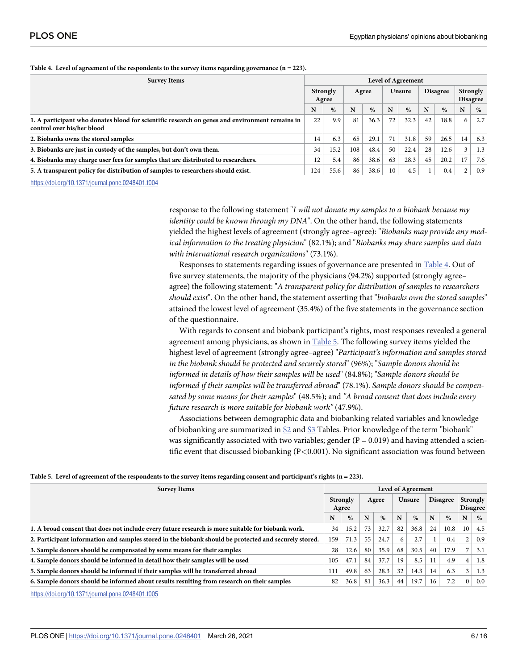| <b>Survey Items</b>                                                                                                          | <b>Level of Agreement</b> |      |     |      |       |      |        |      |                 |     |  |                             |
|------------------------------------------------------------------------------------------------------------------------------|---------------------------|------|-----|------|-------|------|--------|------|-----------------|-----|--|-----------------------------|
|                                                                                                                              | Strongly<br>Agree         |      |     |      | Agree |      | Unsure |      | <b>Disagree</b> |     |  | Strongly<br><b>Disagree</b> |
|                                                                                                                              | N                         | %    | N   | %    | N     | $\%$ | N      | %    | N               | %   |  |                             |
| 1. A participant who donates blood for scientific research on genes and environment remains in<br>control over his/her blood | 22                        | 9.9  | 81  | 36.3 | 72    | 32.3 | 42     | 18.8 | 6               | 2.7 |  |                             |
| 2. Biobanks owns the stored samples                                                                                          | 14                        | 6.3  | 65  | 29.1 | 71    | 31.8 | 59     | 26.5 | 14 <sup>7</sup> | 6.3 |  |                             |
| 3. Biobanks are just in custody of the samples, but don't own them.                                                          | 34                        | 15.2 | 108 | 48.4 | 50    | 22.4 | 28     | 12.6 | 3               | 1.3 |  |                             |
| 4. Biobanks may charge user fees for samples that are distributed to researchers.                                            | 12                        | 5.4  | 86  | 38.6 | 63    | 28.3 | 45     | 20.2 | 17              | 7.6 |  |                             |
| 5. A transparent policy for distribution of samples to researchers should exist.                                             | 124                       | 55.6 | 86  | 38.6 | 10    | 4.5  |        | 0.4  | 2               | 0.9 |  |                             |

<span id="page-5-0"></span>**Table 4. Level of agreement of the respondents to the survey items regarding governance (n = 223).**

<https://doi.org/10.1371/journal.pone.0248401.t004>

response to the following statement "*I will not donate my samples to a biobank because my identity could be known through my DNA*". On the other hand, the following statements yielded the highest levels of agreement (strongly agree–agree): "*Biobanks may provide any medical information to the treating physician*" (82.1%); and "*Biobanks may share samples and data with international research organizations*" (73.1%).

Responses to statements regarding issues of governance are presented in Table 4. Out of five survey statements, the majority of the physicians (94.2%) supported (strongly agree– agree) the following statement: "*A transparent policy for distribution of samples to researchers should exist*". On the other hand, the statement asserting that "*biobanks own the stored samples*" attained the lowest level of agreement (35.4%) of the five statements in the governance section of the questionnaire.

With regards to consent and biobank participant's rights, most responses revealed a general agreement among physicians, as shown in Table 5. The following survey items yielded the highest level of agreement (strongly agree–agree) "*Participant's information and samples stored in the biobank should be protected and securely stored*" (96%); "*Sample donors should be informed in details of how their samples will be used*" (84.8%); "*Sample donors should be informed if their samples will be transferred abroad*" (78.1%). *Sample donors should be compensated by some means for their samples*" (48.5%); and *"A broad consent that does include every future research is more suitable for biobank work"* (47.9%).

Associations between demographic data and biobanking related variables and knowledge of biobanking are summarized in [S2](#page-11-0) and [S3](#page-11-0) Tables. Prior knowledge of the term "biobank" was significantly associated with two variables; gender  $(P = 0.019)$  and having attended a scientific event that discussed biobanking (P*<*0.001). No significant association was found between

| Table 5. Level of agreement of the respondents to the survey items regarding consent and participant's rights $(n = 223)$ . |  |  |  |
|-----------------------------------------------------------------------------------------------------------------------------|--|--|--|
|                                                                                                                             |  |  |  |

| <b>Survey Items</b>                                                                                   | <b>Level of Agreement</b> |                   |       |      |               |      |                 |      |          |                                    |
|-------------------------------------------------------------------------------------------------------|---------------------------|-------------------|-------|------|---------------|------|-----------------|------|----------|------------------------------------|
|                                                                                                       |                           | Strongly<br>Agree | Agree |      | <b>Unsure</b> |      | <b>Disagree</b> |      |          | <b>Strongly</b><br><b>Disagree</b> |
|                                                                                                       | N                         | %                 | N     | %    | N             | $\%$ | N               | $\%$ | N        | $\%$                               |
| 1. A broad consent that does not include every future research is more suitable for biobank work.     | 34                        | 15.2              | 73    | 32.7 | 82            | 36.8 | 24              | 10.8 | 10       | 4.5                                |
| 2. Participant information and samples stored in the biobank should be protected and securely stored. | 159                       | 71.3              | 55    | 24.7 | 6             | 2.7  |                 | 0.4  | h        | 0.9                                |
| 3. Sample donors should be compensated by some means for their samples                                | 28                        | 12.6              | 80    | 35.9 | 68            | 30.5 | 40              | 17.9 |          | 3.1                                |
| 4. Sample donors should be informed in detail how their samples will be used                          | 105                       | 47.1              | 84    | 37.7 | 19            | 8.5  | 11              | 4.9  | 4        | 1.8                                |
| 5. Sample donors should be informed if their samples will be transferred abroad                       | 111                       | 49.8              | 63    | 28.3 | 32            | 14.3 | 14              | 6.3  | 3        | 1.3                                |
| 6. Sample donors should be informed about results resulting from research on their samples            | 82                        | 36.8              | 81    | 36.3 | 44            | 19.7 | 16              | 7.2  | $\Omega$ | 0.0                                |

<https://doi.org/10.1371/journal.pone.0248401.t005>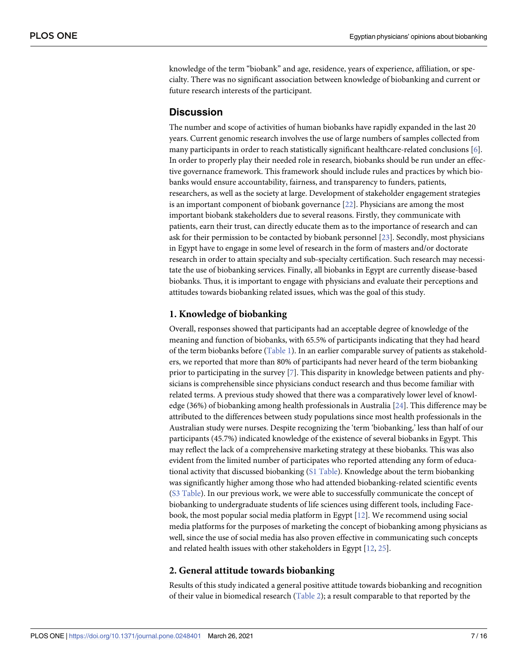<span id="page-6-0"></span>knowledge of the term "biobank" and age, residence, years of experience, affiliation, or specialty. There was no significant association between knowledge of biobanking and current or future research interests of the participant.

#### **Discussion**

The number and scope of activities of human biobanks have rapidly expanded in the last 20 years. Current genomic research involves the use of large numbers of samples collected from many participants in order to reach statistically significant healthcare-related conclusions [\[6\]](#page-12-0). In order to properly play their needed role in research, biobanks should be run under an effective governance framework. This framework should include rules and practices by which biobanks would ensure accountability, fairness, and transparency to funders, patients, researchers, as well as the society at large. Development of stakeholder engagement strategies is an important component of biobank governance [\[22\]](#page-13-0). Physicians are among the most important biobank stakeholders due to several reasons. Firstly, they communicate with patients, earn their trust, can directly educate them as to the importance of research and can ask for their permission to be contacted by biobank personnel [\[23\]](#page-13-0). Secondly, most physicians in Egypt have to engage in some level of research in the form of masters and/or doctorate research in order to attain specialty and sub-specialty certification. Such research may necessitate the use of biobanking services. Finally, all biobanks in Egypt are currently disease-based biobanks. Thus, it is important to engage with physicians and evaluate their perceptions and attitudes towards biobanking related issues, which was the goal of this study.

#### **1. Knowledge of biobanking**

Overall, responses showed that participants had an acceptable degree of knowledge of the meaning and function of biobanks, with 65.5% of participants indicating that they had heard of the term biobanks before [\(Table](#page-3-0) 1). In an earlier comparable survey of patients as stakeholders, we reported that more than 80% of participants had never heard of the term biobanking prior to participating in the survey [[7](#page-12-0)]. This disparity in knowledge between patients and physicians is comprehensible since physicians conduct research and thus become familiar with related terms. A previous study showed that there was a comparatively lower level of knowledge (36%) of biobanking among health professionals in Australia [[24](#page-13-0)]. This difference may be attributed to the differences between study populations since most health professionals in the Australian study were nurses. Despite recognizing the 'term 'biobanking,' less than half of our participants (45.7%) indicated knowledge of the existence of several biobanks in Egypt. This may reflect the lack of a comprehensive marketing strategy at these biobanks. This was also evident from the limited number of participates who reported attending any form of educational activity that discussed biobanking (S1 [Table](#page-11-0)). Knowledge about the term biobanking was significantly higher among those who had attended biobanking-related scientific events (S3 [Table](#page-11-0)). In our previous work, we were able to successfully communicate the concept of biobanking to undergraduate students of life sciences using different tools, including Facebook, the most popular social media platform in Egypt [\[12\]](#page-12-0). We recommend using social media platforms for the purposes of marketing the concept of biobanking among physicians as well, since the use of social media has also proven effective in communicating such concepts and related health issues with other stakeholders in Egypt [\[12,](#page-12-0) [25\]](#page-13-0).

#### **2. General attitude towards biobanking**

Results of this study indicated a general positive attitude towards biobanking and recognition of their value in biomedical research [\(Table](#page-4-0) 2); a result comparable to that reported by the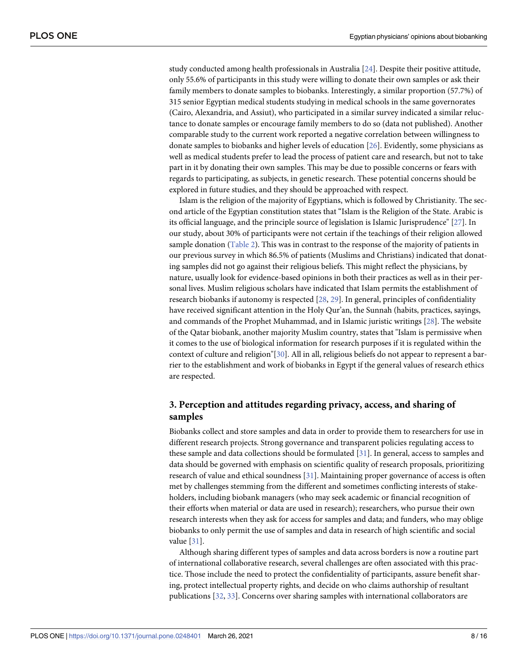<span id="page-7-0"></span>study conducted among health professionals in Australia [\[24\]](#page-13-0). Despite their positive attitude, only 55.6% of participants in this study were willing to donate their own samples or ask their family members to donate samples to biobanks. Interestingly, a similar proportion (57.7%) of 315 senior Egyptian medical students studying in medical schools in the same governorates (Cairo, Alexandria, and Assiut), who participated in a similar survey indicated a similar reluctance to donate samples or encourage family members to do so (data not published). Another comparable study to the current work reported a negative correlation between willingness to donate samples to biobanks and higher levels of education [[26](#page-13-0)]. Evidently, some physicians as well as medical students prefer to lead the process of patient care and research, but not to take part in it by donating their own samples. This may be due to possible concerns or fears with regards to participating, as subjects, in genetic research. These potential concerns should be explored in future studies, and they should be approached with respect.

Islam is the religion of the majority of Egyptians, which is followed by Christianity. The second article of the Egyptian constitution states that "Islam is the Religion of the State. Arabic is its official language, and the principle source of legislation is Islamic Jurisprudence" [[27](#page-13-0)]. In our study, about 30% of participants were not certain if the teachings of their religion allowed sample donation [\(Table](#page-4-0) 2). This was in contrast to the response of the majority of patients in our previous survey in which 86.5% of patients (Muslims and Christians) indicated that donating samples did not go against their religious beliefs. This might reflect the physicians, by nature, usually look for evidence-based opinions in both their practices as well as in their personal lives. Muslim religious scholars have indicated that Islam permits the establishment of research biobanks if autonomy is respected [[28](#page-13-0), [29](#page-13-0)]. In general, principles of confidentiality have received significant attention in the Holy Qur'an, the Sunnah (habits, practices, sayings, and commands of the Prophet Muhammad, and in Islamic juristic writings [\[28\]](#page-13-0). The website of the Qatar biobank, another majority Muslim country, states that "Islam is permissive when it comes to the use of biological information for research purposes if it is regulated within the context of culture and religion"[[30](#page-13-0)]. All in all, religious beliefs do not appear to represent a barrier to the establishment and work of biobanks in Egypt if the general values of research ethics are respected.

## **3. Perception and attitudes regarding privacy, access, and sharing of samples**

Biobanks collect and store samples and data in order to provide them to researchers for use in different research projects. Strong governance and transparent policies regulating access to these sample and data collections should be formulated [[31](#page-13-0)]. In general, access to samples and data should be governed with emphasis on scientific quality of research proposals, prioritizing research of value and ethical soundness [[31](#page-13-0)]. Maintaining proper governance of access is often met by challenges stemming from the different and sometimes conflicting interests of stakeholders, including biobank managers (who may seek academic or financial recognition of their efforts when material or data are used in research); researchers, who pursue their own research interests when they ask for access for samples and data; and funders, who may oblige biobanks to only permit the use of samples and data in research of high scientific and social value [\[31\]](#page-13-0).

Although sharing different types of samples and data across borders is now a routine part of international collaborative research, several challenges are often associated with this practice. Those include the need to protect the confidentiality of participants, assure benefit sharing, protect intellectual property rights, and decide on who claims authorship of resultant publications [[32](#page-13-0), [33](#page-13-0)]. Concerns over sharing samples with international collaborators are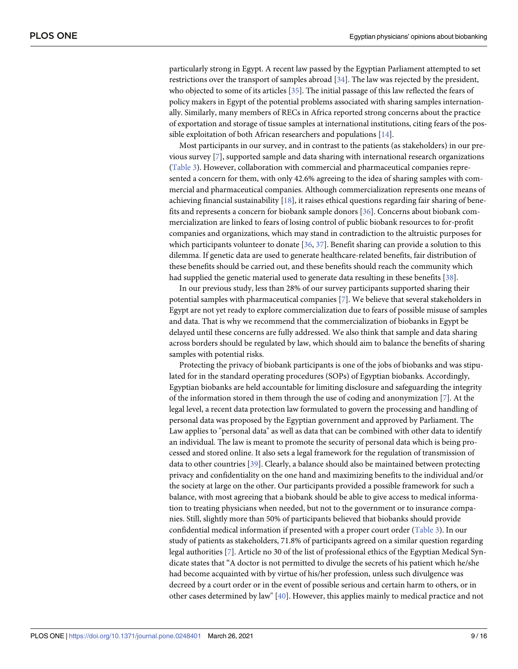<span id="page-8-0"></span>particularly strong in Egypt. A recent law passed by the Egyptian Parliament attempted to set restrictions over the transport of samples abroad [\[34\]](#page-13-0). The law was rejected by the president, who objected to some of its articles [\[35\]](#page-13-0). The initial passage of this law reflected the fears of policy makers in Egypt of the potential problems associated with sharing samples internationally. Similarly, many members of RECs in Africa reported strong concerns about the practice of exportation and storage of tissue samples at international institutions, citing fears of the possible exploitation of both African researchers and populations [[14](#page-12-0)].

Most participants in our survey, and in contrast to the patients (as stakeholders) in our previous survey [[7\]](#page-12-0), supported sample and data sharing with international research organizations [\(Table](#page-4-0) 3). However, collaboration with commercial and pharmaceutical companies represented a concern for them, with only 42.6% agreeing to the idea of sharing samples with commercial and pharmaceutical companies. Although commercialization represents one means of achieving financial sustainability [\[18\]](#page-13-0), it raises ethical questions regarding fair sharing of benefits and represents a concern for biobank sample donors [[36](#page-13-0)]. Concerns about biobank commercialization are linked to fears of losing control of public biobank resources to for-profit companies and organizations, which may stand in contradiction to the altruistic purposes for which participants volunteer to donate [[36](#page-13-0), [37\]](#page-13-0). Benefit sharing can provide a solution to this dilemma. If genetic data are used to generate healthcare-related benefits, fair distribution of these benefits should be carried out, and these benefits should reach the community which had supplied the genetic material used to generate data resulting in these benefits [[38](#page-14-0)].

In our previous study, less than 28% of our survey participants supported sharing their potential samples with pharmaceutical companies [[7](#page-12-0)]. We believe that several stakeholders in Egypt are not yet ready to explore commercialization due to fears of possible misuse of samples and data. That is why we recommend that the commercialization of biobanks in Egypt be delayed until these concerns are fully addressed. We also think that sample and data sharing across borders should be regulated by law, which should aim to balance the benefits of sharing samples with potential risks.

Protecting the privacy of biobank participants is one of the jobs of biobanks and was stipulated for in the standard operating procedures (SOPs) of Egyptian biobanks. Accordingly, Egyptian biobanks are held accountable for limiting disclosure and safeguarding the integrity of the information stored in them through the use of coding and anonymization [[7](#page-12-0)]. At the legal level, a recent data protection law formulated to govern the processing and handling of personal data was proposed by the Egyptian government and approved by Parliament. The Law applies to "personal data" as well as data that can be combined with other data to identify an individual. The law is meant to promote the security of personal data which is being processed and stored online. It also sets a legal framework for the regulation of transmission of data to other countries [[39](#page-14-0)]. Clearly, a balance should also be maintained between protecting privacy and confidentiality on the one hand and maximizing benefits to the individual and/or the society at large on the other. Our participants provided a possible framework for such a balance, with most agreeing that a biobank should be able to give access to medical information to treating physicians when needed, but not to the government or to insurance companies. Still, slightly more than 50% of participants believed that biobanks should provide confidential medical information if presented with a proper court order [\(Table](#page-4-0) 3). In our study of patients as stakeholders, 71.8% of participants agreed on a similar question regarding legal authorities [[7\]](#page-12-0). Article no 30 of the list of professional ethics of the Egyptian Medical Syndicate states that "A doctor is not permitted to divulge the secrets of his patient which he/she had become acquainted with by virtue of his/her profession, unless such divulgence was decreed by a court order or in the event of possible serious and certain harm to others, or in other cases determined by law" [\[40\]](#page-14-0). However, this applies mainly to medical practice and not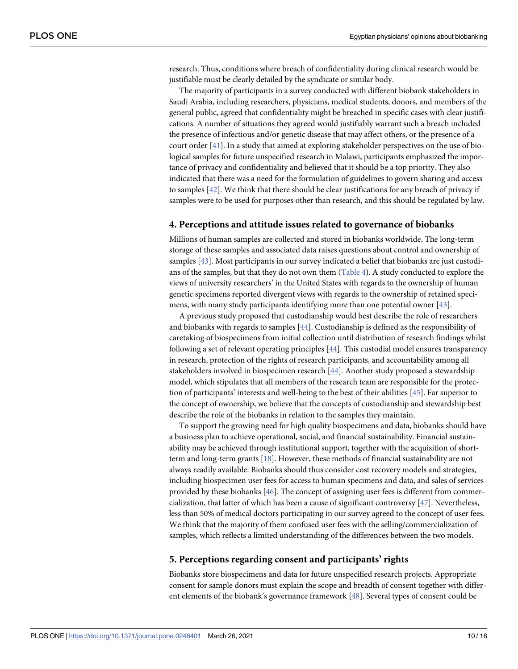<span id="page-9-0"></span>research. Thus, conditions where breach of confidentiality during clinical research would be justifiable must be clearly detailed by the syndicate or similar body.

The majority of participants in a survey conducted with different biobank stakeholders in Saudi Arabia, including researchers, physicians, medical students, donors, and members of the general public, agreed that confidentiality might be breached in specific cases with clear justifications. A number of situations they agreed would justifiably warrant such a breach included the presence of infectious and/or genetic disease that may affect others, or the presence of a court order [\[41\]](#page-14-0). In a study that aimed at exploring stakeholder perspectives on the use of biological samples for future unspecified research in Malawi, participants emphasized the importance of privacy and confidentiality and believed that it should be a top priority. They also indicated that there was a need for the formulation of guidelines to govern sharing and access to samples [\[42\]](#page-14-0). We think that there should be clear justifications for any breach of privacy if samples were to be used for purposes other than research, and this should be regulated by law.

#### **4. Perceptions and attitude issues related to governance of biobanks**

Millions of human samples are collected and stored in biobanks worldwide. The long-term storage of these samples and associated data raises questions about control and ownership of samples [\[43\]](#page-14-0). Most participants in our survey indicated a belief that biobanks are just custodians of the samples, but that they do not own them [\(Table](#page-5-0) 4). A study conducted to explore the views of university researchers' in the United States with regards to the ownership of human genetic specimens reported divergent views with regards to the ownership of retained specimens, with many study participants identifying more than one potential owner [\[43\]](#page-14-0).

A previous study proposed that custodianship would best describe the role of researchers and biobanks with regards to samples [[44](#page-14-0)]. Custodianship is defined as the responsibility of caretaking of biospecimens from initial collection until distribution of research findings whilst following a set of relevant operating principles [\[44\]](#page-14-0). This custodial model ensures transparency in research, protection of the rights of research participants, and accountability among all stakeholders involved in biospecimen research [[44](#page-14-0)]. Another study proposed a stewardship model, which stipulates that all members of the research team are responsible for the protection of participants' interests and well-being to the best of their abilities [[45](#page-14-0)]. Far superior to the concept of ownership, we believe that the concepts of custodianship and stewardship best describe the role of the biobanks in relation to the samples they maintain.

To support the growing need for high quality biospecimens and data, biobanks should have a business plan to achieve operational, social, and financial sustainability. Financial sustainability may be achieved through institutional support, together with the acquisition of shortterm and long-term grants [[18](#page-13-0)]. However, these methods of financial sustainability are not always readily available. Biobanks should thus consider cost recovery models and strategies, including biospecimen user fees for access to human specimens and data, and sales of services provided by these biobanks [\[46\]](#page-14-0). The concept of assigning user fees is different from commercialization, that latter of which has been a cause of significant controversy [[47](#page-14-0)]. Nevertheless, less than 50% of medical doctors participating in our survey agreed to the concept of user fees. We think that the majority of them confused user fees with the selling/commercialization of samples, which reflects a limited understanding of the differences between the two models.

#### **5. Perceptions regarding consent and participants' rights**

Biobanks store biospecimens and data for future unspecified research projects. Appropriate consent for sample donors must explain the scope and breadth of consent together with different elements of the biobank's governance framework [[48](#page-14-0)]. Several types of consent could be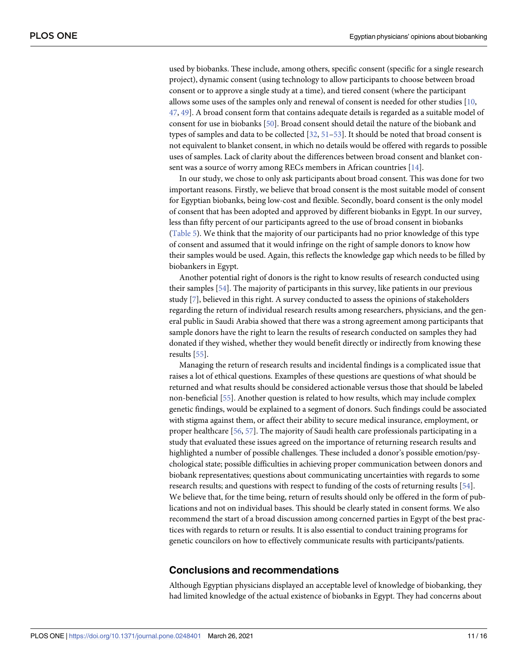<span id="page-10-0"></span>used by biobanks. These include, among others, specific consent (specific for a single research project), dynamic consent (using technology to allow participants to choose between broad consent or to approve a single study at a time), and tiered consent (where the participant allows some uses of the samples only and renewal of consent is needed for other studies [[10](#page-12-0), [47,](#page-14-0) [49](#page-14-0)]. A broad consent form that contains adequate details is regarded as a suitable model of consent for use in biobanks [[50](#page-14-0)]. Broad consent should detail the nature of the biobank and types of samples and data to be collected [[32](#page-13-0), [51–53\]](#page-14-0). It should be noted that broad consent is not equivalent to blanket consent, in which no details would be offered with regards to possible uses of samples. Lack of clarity about the differences between broad consent and blanket consent was a source of worry among RECs members in African countries [[14](#page-12-0)].

In our study, we chose to only ask participants about broad consent. This was done for two important reasons. Firstly, we believe that broad consent is the most suitable model of consent for Egyptian biobanks, being low-cost and flexible. Secondly, board consent is the only model of consent that has been adopted and approved by different biobanks in Egypt. In our survey, less than fifty percent of our participants agreed to the use of broad consent in biobanks [\(Table](#page-5-0) 5). We think that the majority of our participants had no prior knowledge of this type of consent and assumed that it would infringe on the right of sample donors to know how their samples would be used. Again, this reflects the knowledge gap which needs to be filled by biobankers in Egypt.

Another potential right of donors is the right to know results of research conducted using their samples [\[54\]](#page-14-0). The majority of participants in this survey, like patients in our previous study [\[7](#page-12-0)], believed in this right. A survey conducted to assess the opinions of stakeholders regarding the return of individual research results among researchers, physicians, and the general public in Saudi Arabia showed that there was a strong agreement among participants that sample donors have the right to learn the results of research conducted on samples they had donated if they wished, whether they would benefit directly or indirectly from knowing these results [\[55\]](#page-14-0).

Managing the return of research results and incidental findings is a complicated issue that raises a lot of ethical questions. Examples of these questions are questions of what should be returned and what results should be considered actionable versus those that should be labeled non-beneficial [\[55\]](#page-14-0). Another question is related to how results, which may include complex genetic findings, would be explained to a segment of donors. Such findings could be associated with stigma against them, or affect their ability to secure medical insurance, employment, or proper healthcare [\[56,](#page-14-0) [57](#page-15-0)]. The majority of Saudi health care professionals participating in a study that evaluated these issues agreed on the importance of returning research results and highlighted a number of possible challenges. These included a donor's possible emotion/psychological state; possible difficulties in achieving proper communication between donors and biobank representatives; questions about communicating uncertainties with regards to some research results; and questions with respect to funding of the costs of returning results [[54](#page-14-0)]. We believe that, for the time being, return of results should only be offered in the form of publications and not on individual bases. This should be clearly stated in consent forms. We also recommend the start of a broad discussion among concerned parties in Egypt of the best practices with regards to return or results. It is also essential to conduct training programs for genetic councilors on how to effectively communicate results with participants/patients.

#### **Conclusions and recommendations**

Although Egyptian physicians displayed an acceptable level of knowledge of biobanking, they had limited knowledge of the actual existence of biobanks in Egypt. They had concerns about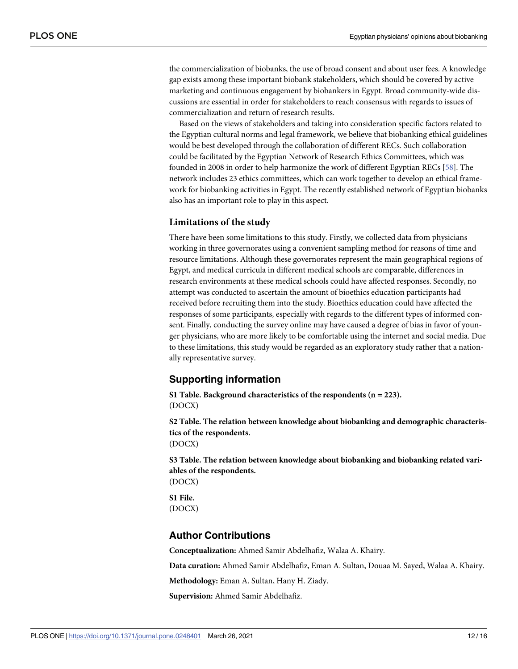<span id="page-11-0"></span>the commercialization of biobanks, the use of broad consent and about user fees. A knowledge gap exists among these important biobank stakeholders, which should be covered by active marketing and continuous engagement by biobankers in Egypt. Broad community-wide discussions are essential in order for stakeholders to reach consensus with regards to issues of commercialization and return of research results.

Based on the views of stakeholders and taking into consideration specific factors related to the Egyptian cultural norms and legal framework, we believe that biobanking ethical guidelines would be best developed through the collaboration of different RECs. Such collaboration could be facilitated by the Egyptian Network of Research Ethics Committees, which was founded in 2008 in order to help harmonize the work of different Egyptian RECs [\[58\]](#page-15-0). The network includes 23 ethics committees, which can work together to develop an ethical framework for biobanking activities in Egypt. The recently established network of Egyptian biobanks also has an important role to play in this aspect.

#### **Limitations of the study**

There have been some limitations to this study. Firstly, we collected data from physicians working in three governorates using a convenient sampling method for reasons of time and resource limitations. Although these governorates represent the main geographical regions of Egypt, and medical curricula in different medical schools are comparable, differences in research environments at these medical schools could have affected responses. Secondly, no attempt was conducted to ascertain the amount of bioethics education participants had received before recruiting them into the study. Bioethics education could have affected the responses of some participants, especially with regards to the different types of informed consent. Finally, conducting the survey online may have caused a degree of bias in favor of younger physicians, who are more likely to be comfortable using the internet and social media. Due to these limitations, this study would be regarded as an exploratory study rather that a nationally representative survey.

## **Supporting information**

**S1 [Table.](http://www.plosone.org/article/fetchSingleRepresentation.action?uri=info:doi/10.1371/journal.pone.0248401.s001) Background characteristics of the respondents (n = 223).** (DOCX)

**S2 [Table.](http://www.plosone.org/article/fetchSingleRepresentation.action?uri=info:doi/10.1371/journal.pone.0248401.s002) The relation between knowledge about biobanking and demographic characteristics of the respondents.** (DOCX)

**S3 [Table.](http://www.plosone.org/article/fetchSingleRepresentation.action?uri=info:doi/10.1371/journal.pone.0248401.s003) The relation between knowledge about biobanking and biobanking related variables of the respondents.** (DOCX)

**S1 [File.](http://www.plosone.org/article/fetchSingleRepresentation.action?uri=info:doi/10.1371/journal.pone.0248401.s004)**

(DOCX)

#### **Author Contributions**

**Conceptualization:** Ahmed Samir Abdelhafiz, Walaa A. Khairy.

**Data curation:** Ahmed Samir Abdelhafiz, Eman A. Sultan, Douaa M. Sayed, Walaa A. Khairy.

**Methodology:** Eman A. Sultan, Hany H. Ziady.

**Supervision:** Ahmed Samir Abdelhafiz.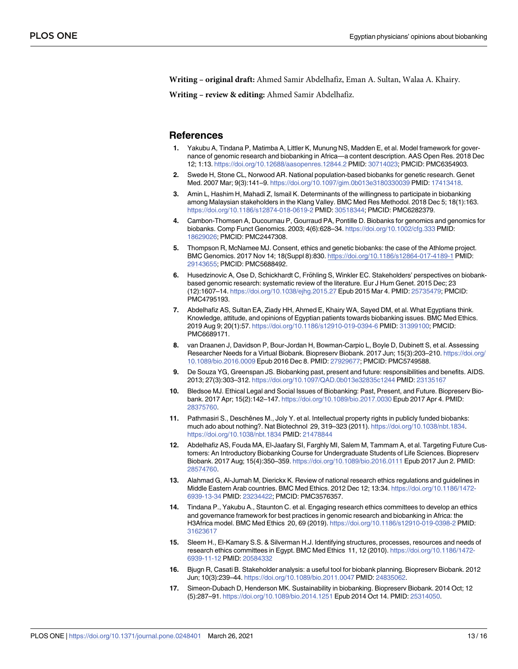<span id="page-12-0"></span>**Writing – original draft:** Ahmed Samir Abdelhafiz, Eman A. Sultan, Walaa A. Khairy.

**Writing – review & editing:** Ahmed Samir Abdelhafiz.

#### **References**

- **[1](#page-1-0).** Yakubu A, Tindana P, Matimba A, Littler K, Munung NS, Madden E, et al. Model framework for governance of genomic research and biobanking in Africa—a content description. AAS Open Res. 2018 Dec 12; 1:13. <https://doi.org/10.12688/aasopenres.12844.2> PMID: [30714023](http://www.ncbi.nlm.nih.gov/pubmed/30714023); PMCID: PMC6354903.
- **[2](#page-1-0).** Swede H, Stone CL, Norwood AR. National population-based biobanks for genetic research. Genet Med. 2007 Mar; 9(3):141–9. <https://doi.org/10.1097/gim.0b013e3180330039> PMID: [17413418](http://www.ncbi.nlm.nih.gov/pubmed/17413418).
- **[3](#page-1-0).** Amin L, Hashim H, Mahadi Z, Ismail K. Determinants of the willingness to participate in biobanking among Malaysian stakeholders in the Klang Valley. BMC Med Res Methodol. 2018 Dec 5; 18(1):163. <https://doi.org/10.1186/s12874-018-0619-2> PMID: [30518344;](http://www.ncbi.nlm.nih.gov/pubmed/30518344) PMCID: PMC6282379.
- **[4](#page-1-0).** Cambon-Thomsen A, Ducournau P, Gourraud PA, Pontille D. Biobanks for genomics and genomics for biobanks. Comp Funct Genomics. 2003; 4(6):628–34. <https://doi.org/10.1002/cfg.333> PMID: [18629026](http://www.ncbi.nlm.nih.gov/pubmed/18629026); PMCID: PMC2447308.
- **[5](#page-1-0).** Thompson R, McNamee MJ. Consent, ethics and genetic biobanks: the case of the Athlome project. BMC Genomics. 2017 Nov 14; 18(Suppl 8):830. <https://doi.org/10.1186/s12864-017-4189-1> PMID: [29143655](http://www.ncbi.nlm.nih.gov/pubmed/29143655); PMCID: PMC5688492.
- **[6](#page-6-0).** Husedzinovic A, Ose D, Schickhardt C, Fröhling S, Winkler EC. Stakeholders' perspectives on biobankbased genomic research: systematic review of the literature. Eur J Hum Genet. 2015 Dec; 23 (12):1607–14. <https://doi.org/10.1038/ejhg.2015.27> Epub 2015 Mar 4. PMID: [25735479](http://www.ncbi.nlm.nih.gov/pubmed/25735479); PMCID: PMC4795193.
- **[7](#page-2-0).** Abdelhafiz AS, Sultan EA, Ziady HH, Ahmed E, Khairy WA, Sayed DM, et al. What Egyptians think. Knowledge, attitude, and opinions of Egyptian patients towards biobanking issues. BMC Med Ethics. 2019 Aug 9; 20(1):57. <https://doi.org/10.1186/s12910-019-0394-6> PMID: [31399100](http://www.ncbi.nlm.nih.gov/pubmed/31399100); PMCID: PMC6689171.
- **8.** van Draanen J, Davidson P, Bour-Jordan H, Bowman-Carpio L, Boyle D, Dubinett S, et al. Assessing Researcher Needs for a Virtual Biobank. Biopreserv Biobank. 2017 Jun; 15(3):203–210. [https://doi.org/](https://doi.org/10.1089/bio.2016.0009) [10.1089/bio.2016.0009](https://doi.org/10.1089/bio.2016.0009) Epub 2016 Dec 8. PMID: [27929677;](http://www.ncbi.nlm.nih.gov/pubmed/27929677) PMCID: PMC5749588.
- **[9](#page-1-0).** De Souza YG, Greenspan JS. Biobanking past, present and future: responsibilities and benefits. AIDS. 2013; 27(3):303–312. <https://doi.org/10.1097/QAD.0b013e32835c1244> PMID: [23135167](http://www.ncbi.nlm.nih.gov/pubmed/23135167)
- **[10](#page-1-0).** Bledsoe MJ. Ethical Legal and Social Issues of Biobanking: Past, Present, and Future. Biopreserv Biobank. 2017 Apr; 15(2):142–147. <https://doi.org/10.1089/bio.2017.0030> Epub 2017 Apr 4. PMID: [28375760](http://www.ncbi.nlm.nih.gov/pubmed/28375760).
- **[11](#page-1-0).** Pathmasiri S., Deschênes M., Joly Y. et al. Intellectual property rights in publicly funded biobanks: much ado about nothing?. Nat Biotechnol 29, 319–323 (2011). [https://doi.org/10.1038/nbt.1834.](https://doi.org/10.1038/nbt.1834) <https://doi.org/10.1038/nbt.1834> PMID: [21478844](http://www.ncbi.nlm.nih.gov/pubmed/21478844)
- **[12](#page-1-0).** Abdelhafiz AS, Fouda MA, El-Jaafary SI, Farghly MI, Salem M, Tammam A, et al. Targeting Future Customers: An Introductory Biobanking Course for Undergraduate Students of Life Sciences. Biopreserv Biobank. 2017 Aug; 15(4):350–359. <https://doi.org/10.1089/bio.2016.0111> Epub 2017 Jun 2. PMID: [28574760](http://www.ncbi.nlm.nih.gov/pubmed/28574760).
- **[13](#page-1-0).** Alahmad G, Al-Jumah M, Dierickx K. Review of national research ethics regulations and guidelines in Middle Eastern Arab countries. BMC Med Ethics. 2012 Dec 12; 13:34. [https://doi.org/10.1186/1472-](https://doi.org/10.1186/1472-6939-13-34) [6939-13-34](https://doi.org/10.1186/1472-6939-13-34) PMID: [23234422](http://www.ncbi.nlm.nih.gov/pubmed/23234422); PMCID: PMC3576357.
- **[14](#page-1-0).** Tindana P., Yakubu A., Staunton C. et al. Engaging research ethics committees to develop an ethics and governance framework for best practices in genomic research and biobanking in Africa: the H3Africa model. BMC Med Ethics 20, 69 (2019). <https://doi.org/10.1186/s12910-019-0398-2> PMID: [31623617](http://www.ncbi.nlm.nih.gov/pubmed/31623617)
- **[15](#page-1-0).** Sleem H., El-Kamary S.S. & Silverman H.J. Identifying structures, processes, resources and needs of research ethics committees in Egypt. BMC Med Ethics 11, 12 (2010). [https://doi.org/10.1186/1472-](https://doi.org/10.1186/1472-6939-11-12) [6939-11-12](https://doi.org/10.1186/1472-6939-11-12) PMID: [20584332](http://www.ncbi.nlm.nih.gov/pubmed/20584332)
- **[16](#page-1-0).** Bjugn R, Casati B. Stakeholder analysis: a useful tool for biobank planning. Biopreserv Biobank. 2012 Jun; 10(3):239–44. <https://doi.org/10.1089/bio.2011.0047> PMID: [24835062](http://www.ncbi.nlm.nih.gov/pubmed/24835062).
- **[17](#page-1-0).** Simeon-Dubach D, Henderson MK. Sustainability in biobanking. Biopreserv Biobank. 2014 Oct; 12 (5):287–91. <https://doi.org/10.1089/bio.2014.1251> Epub 2014 Oct 14. PMID: [25314050](http://www.ncbi.nlm.nih.gov/pubmed/25314050).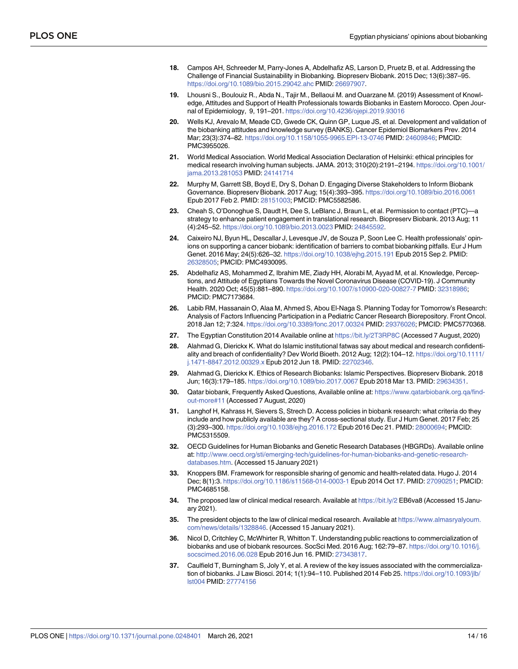- <span id="page-13-0"></span>**[18](#page-1-0).** Campos AH, Schreeder M, Parry-Jones A, Abdelhafiz AS, Larson D, Pruetz B, et al. Addressing the Challenge of Financial Sustainability in Biobanking. Biopreserv Biobank. 2015 Dec; 13(6):387–95. <https://doi.org/10.1089/bio.2015.29042.ahc> PMID: [26697907](http://www.ncbi.nlm.nih.gov/pubmed/26697907).
- **[19](#page-2-0).** Lhousni S., Boulouiz R., Abda N., Tajir M., Bellaoui M. and Ouarzane M. (2019) Assessment of Knowledge, Attitudes and Support of Health Professionals towards Biobanks in Eastern Morocco. Open Journal of Epidemiology, 9, 191–201. <https://doi.org/10.4236/ojepi.2019.93016>
- **[20](#page-2-0).** Wells KJ, Arevalo M, Meade CD, Gwede CK, Quinn GP, Luque JS, et al. Development and validation of the biobanking attitudes and knowledge survey (BANKS). Cancer Epidemiol Biomarkers Prev. 2014 Mar; 23(3):374–82. <https://doi.org/10.1158/1055-9965.EPI-13-0746> PMID: [24609846](http://www.ncbi.nlm.nih.gov/pubmed/24609846); PMCID: PMC3955026.
- **[21](#page-3-0).** World Medical Association. World Medical Association Declaration of Helsinki: ethical principles for medical research involving human subjects. JAMA. 2013; 310(20):2191–2194. [https://doi.org/10.1001/](https://doi.org/10.1001/jama.2013.281053) [jama.2013.281053](https://doi.org/10.1001/jama.2013.281053) PMID: [24141714](http://www.ncbi.nlm.nih.gov/pubmed/24141714)
- **[22](#page-6-0).** Murphy M, Garrett SB, Boyd E, Dry S, Dohan D. Engaging Diverse Stakeholders to Inform Biobank Governance. Biopreserv Biobank. 2017 Aug; 15(4):393–395. <https://doi.org/10.1089/bio.2016.0061> Epub 2017 Feb 2. PMID: [28151003](http://www.ncbi.nlm.nih.gov/pubmed/28151003); PMCID: PMC5582586.
- **[23](#page-6-0).** Cheah S, O'Donoghue S, Daudt H, Dee S, LeBlanc J, Braun L, et al. Permission to contact (PTC)—a strategy to enhance patient engagement in translational research. Biopreserv Biobank. 2013 Aug; 11 (4):245–52. <https://doi.org/10.1089/bio.2013.0023> PMID: [24845592](http://www.ncbi.nlm.nih.gov/pubmed/24845592).
- **[24](#page-6-0).** Caixeiro NJ, Byun HL, Descallar J, Levesque JV, de Souza P, Soon Lee C. Health professionals' opinions on supporting a cancer biobank: identification of barriers to combat biobanking pitfalls. Eur J Hum Genet. 2016 May; 24(5):626–32. <https://doi.org/10.1038/ejhg.2015.191> Epub 2015 Sep 2. PMID: [26328505](http://www.ncbi.nlm.nih.gov/pubmed/26328505); PMCID: PMC4930095.
- **[25](#page-6-0).** Abdelhafiz AS, Mohammed Z, Ibrahim ME, Ziady HH, Alorabi M, Ayyad M, et al. Knowledge, Perceptions, and Attitude of Egyptians Towards the Novel Coronavirus Disease (COVID-19). J Community Health. 2020 Oct; 45(5):881–890. <https://doi.org/10.1007/s10900-020-00827-7> PMID: [32318986](http://www.ncbi.nlm.nih.gov/pubmed/32318986); PMCID: PMC7173684.
- **[26](#page-7-0).** Labib RM, Hassanain O, Alaa M, Ahmed S, Abou El-Naga S. Planning Today for Tomorrow's Research: Analysis of Factors Influencing Participation in a Pediatric Cancer Research Biorepository. Front Oncol. 2018 Jan 12; 7:324. <https://doi.org/10.3389/fonc.2017.00324> PMID: [29376026;](http://www.ncbi.nlm.nih.gov/pubmed/29376026) PMCID: PMC5770368.
- **[27](#page-7-0).** The Egyptian Constitution 2014 Available online at <https://bit.ly/2T3RP8C> (Accessed 7 August, 2020)
- **[28](#page-7-0).** Alahmad G, Dierickx K. What do Islamic institutional fatwas say about medical and research confidentiality and breach of confidentiality? Dev World Bioeth. 2012 Aug; 12(2):104–12. [https://doi.org/10.1111/](https://doi.org/10.1111/j.1471-8847.2012.00329.x) [j.1471-8847.2012.00329.x](https://doi.org/10.1111/j.1471-8847.2012.00329.x) Epub 2012 Jun 18. PMID: [22702346.](http://www.ncbi.nlm.nih.gov/pubmed/22702346)
- **[29](#page-7-0).** Alahmad G, Dierickx K. Ethics of Research Biobanks: Islamic Perspectives. Biopreserv Biobank. 2018 Jun; 16(3):179–185. <https://doi.org/10.1089/bio.2017.0067> Epub 2018 Mar 13. PMID: [29634351](http://www.ncbi.nlm.nih.gov/pubmed/29634351).
- **[30](#page-7-0).** Qatar biobank, Frequently Asked Questions, Available online at: [https://www.qatarbiobank.org.qa/find](https://www.qatarbiobank.org.qa/find-out-more#11)[out-more#11](https://www.qatarbiobank.org.qa/find-out-more#11) (Accessed 7 August, 2020)
- **[31](#page-7-0).** Langhof H, Kahrass H, Sievers S, Strech D. Access policies in biobank research: what criteria do they include and how publicly available are they? A cross-sectional study. Eur J Hum Genet. 2017 Feb; 25 (3):293–300. <https://doi.org/10.1038/ejhg.2016.172> Epub 2016 Dec 21. PMID: [28000694](http://www.ncbi.nlm.nih.gov/pubmed/28000694); PMCID: PMC5315509.
- **[32](#page-7-0).** OECD Guidelines for Human Biobanks and Genetic Research Databases (HBGRDs). Available online at: [http://www.oecd.org/sti/emerging-tech/guidelines-for-human-biobanks-and-genetic-research](http://www.oecd.org/sti/emerging-tech/guidelines-for-human-biobanks-and-genetic-research-databases.htm)[databases.htm](http://www.oecd.org/sti/emerging-tech/guidelines-for-human-biobanks-and-genetic-research-databases.htm). (Accessed 15 January 2021)
- **[33](#page-7-0).** Knoppers BM. Framework for responsible sharing of genomic and health-related data. Hugo J. 2014 Dec; 8(1):3. <https://doi.org/10.1186/s11568-014-0003-1> Epub 2014 Oct 17. PMID: [27090251](http://www.ncbi.nlm.nih.gov/pubmed/27090251); PMCID: PMC4685158.
- **[34](#page-8-0).** The proposed law of clinical medical research. Available at <https://bit.ly/2> EB6va8 (Accessed 15 January 2021).
- **[35](#page-8-0).** The president objects to the law of clinical medical research. Available at [https://www.almasryalyoum.](https://www.almasryalyoum.com/news/details/1328846) [com/news/details/1328846.](https://www.almasryalyoum.com/news/details/1328846) (Accessed 15 January 2021).
- **[36](#page-8-0).** Nicol D, Critchley C, McWhirter R, Whitton T. Understanding public reactions to commercialization of biobanks and use of biobank resources. SocSci Med. 2016 Aug; 162:79–87. [https://doi.org/10.1016/j.](https://doi.org/10.1016/j.socscimed.2016.06.028) [socscimed.2016.06.028](https://doi.org/10.1016/j.socscimed.2016.06.028) Epub 2016 Jun 16. PMID: [27343817](http://www.ncbi.nlm.nih.gov/pubmed/27343817).
- **[37](#page-8-0).** Caulfield T, Burningham S, Joly Y, et al. A review of the key issues associated with the commercialization of biobanks. J Law Biosci. 2014; 1(1):94–110. Published 2014 Feb 25. [https://doi.org/10.1093/jlb/](https://doi.org/10.1093/jlb/lst004) [lst004](https://doi.org/10.1093/jlb/lst004) PMID: [27774156](http://www.ncbi.nlm.nih.gov/pubmed/27774156)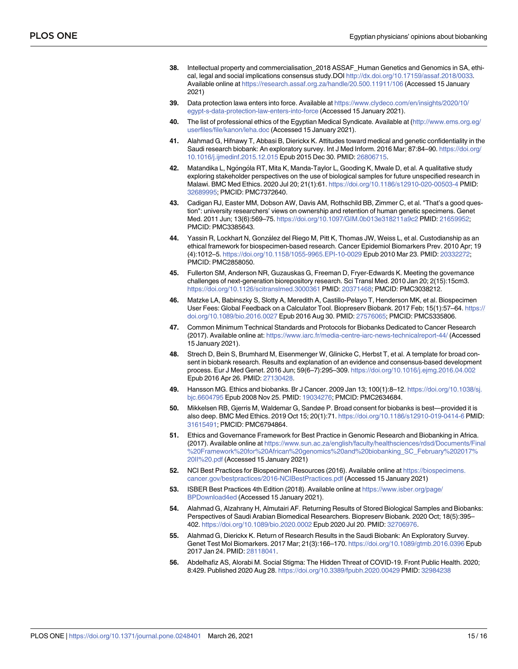- <span id="page-14-0"></span>**[38](#page-8-0).** Intellectual property and commercialisation\_2018 ASSAF\_Human Genetics and Genomics in SA, ethical, legal and social implications consensus study.DOI [http://dx.doi.org/10.17159/assaf.2018/0033.](http://dx.doi.org/10.17159/assaf.2018/0033) Available online at <https://research.assaf.org.za/handle/20.500.11911/106> (Accessed 15 January 2021)
- **[39](#page-8-0).** Data protection lawa enters into force. Available at [https://www.clydeco.com/en/insights/2020/10/](https://www.clydeco.com/en/insights/2020/10/egypt-s-data-protection-law-enters-into-force) [egypt-s-data-protection-law-enters-into-force](https://www.clydeco.com/en/insights/2020/10/egypt-s-data-protection-law-enters-into-force) (Accessed 15 January 2021).
- **[40](#page-8-0).** The list of professional ethics of the Egyptian Medical Syndicate. Available at [\(http://www.ems.org.eg/](http://www.ems.org.eg/userfiles/file/kanon/leha.doc) [userfiles/file/kanon/leha.doc](http://www.ems.org.eg/userfiles/file/kanon/leha.doc) (Accessed 15 January 2021).
- **[41](#page-9-0).** Alahmad G, Hifnawy T, Abbasi B, Dierickx K. Attitudes toward medical and genetic confidentiality in the Saudi research biobank: An exploratory survey. Int J Med Inform. 2016 Mar; 87:84–90. [https://doi.org/](https://doi.org/10.1016/j.ijmedinf.2015.12.015) [10.1016/j.ijmedinf.2015.12.015](https://doi.org/10.1016/j.ijmedinf.2015.12.015) Epub 2015 Dec 30. PMID: [26806715](http://www.ncbi.nlm.nih.gov/pubmed/26806715).
- **[42](#page-9-0).** Matandika L, Ngóngóla RT, Mita K, Manda-Taylor L, Gooding K, Mwale D, et al. A qualitative study exploring stakeholder perspectives on the use of biological samples for future unspecified research in Malawi. BMC Med Ethics. 2020 Jul 20; 21(1):61. <https://doi.org/10.1186/s12910-020-00503-4> PMID: [32689995](http://www.ncbi.nlm.nih.gov/pubmed/32689995); PMCID: PMC7372640.
- **[43](#page-9-0).** Cadigan RJ, Easter MM, Dobson AW, Davis AM, Rothschild BB, Zimmer C, et al. "That's a good question": university researchers' views on ownership and retention of human genetic specimens. Genet Med. 2011 Jun; 13(6):569–75. <https://doi.org/10.1097/GIM.0b013e318211a9c2> PMID: [21659952;](http://www.ncbi.nlm.nih.gov/pubmed/21659952) PMCID: PMC3385643.
- Yassin R, Lockhart N, González del Riego M, Pitt K, Thomas JW, Weiss L, et al. Custodianship as an ethical framework for biospecimen-based research. Cancer Epidemiol Biomarkers Prev. 2010 Apr; 19 (4):1012–5. <https://doi.org/10.1158/1055-9965.EPI-10-0029> Epub 2010 Mar 23. PMID: [20332272;](http://www.ncbi.nlm.nih.gov/pubmed/20332272) PMCID: PMC2858050.
- **[45](#page-9-0).** Fullerton SM, Anderson NR, Guzauskas G, Freeman D, Fryer-Edwards K. Meeting the governance challenges of next-generation biorepository research. Sci Transl Med. 2010 Jan 20; 2(15):15cm3. <https://doi.org/10.1126/scitranslmed.3000361> PMID: [20371468](http://www.ncbi.nlm.nih.gov/pubmed/20371468); PMCID: PMC3038212.
- **[46](#page-9-0).** Matzke LA, Babinszky S, Slotty A, Meredith A, Castillo-Pelayo T, Henderson MK, et al. Biospecimen User Fees: Global Feedback on a Calculator Tool. Biopreserv Biobank. 2017 Feb; 15(1):57–64. [https://](https://doi.org/10.1089/bio.2016.0027) [doi.org/10.1089/bio.2016.0027](https://doi.org/10.1089/bio.2016.0027) Epub 2016 Aug 30. PMID: [27576065](http://www.ncbi.nlm.nih.gov/pubmed/27576065); PMCID: PMC5335806.
- **[47](#page-9-0).** Common Minimum Technical Standards and Protocols for Biobanks Dedicated to Cancer Research (2017). Available online at: <https://www.iarc.fr/media-centre-iarc-news-technicalreport-44/> (Accessed 15 January 2021).
- **[48](#page-9-0).** Strech D, Bein S, Brumhard M, Eisenmenger W, Glinicke C, Herbst T, et al. A template for broad consent in biobank research. Results and explanation of an evidence and consensus-based development process. Eur J Med Genet. 2016 Jun; 59(6–7):295–309. <https://doi.org/10.1016/j.ejmg.2016.04.002> Epub 2016 Apr 26. PMID: [27130428](http://www.ncbi.nlm.nih.gov/pubmed/27130428).
- **[49](#page-10-0).** Hansson MG. Ethics and biobanks. Br J Cancer. 2009 Jan 13; 100(1):8–12. [https://doi.org/10.1038/sj.](https://doi.org/10.1038/sj.bjc.6604795) [bjc.6604795](https://doi.org/10.1038/sj.bjc.6604795) Epub 2008 Nov 25. PMID: [19034276](http://www.ncbi.nlm.nih.gov/pubmed/19034276); PMCID: PMC2634684.
- **[50](#page-10-0).** Mikkelsen RB, Gjerris M, Waldemar G, Sandøe P. Broad consent for biobanks is best—provided it is also deep. BMC Med Ethics. 2019 Oct 15; 20(1):71. <https://doi.org/10.1186/s12910-019-0414-6> PMID: [31615491](http://www.ncbi.nlm.nih.gov/pubmed/31615491); PMCID: PMC6794864.
- **[51](#page-10-0).** Ethics and Governance Framework for Best Practice in Genomic Research and Biobanking in Africa. (2017). Available online at [https://www.sun.ac.za/english/faculty/healthsciences/rdsd/Documents/Final](https://www.sun.ac.za/english/faculty/healthsciences/rdsd/Documents/Final%20Framework%20for%20African%20genomics%20and%20biobanking_SC_February%202017%20II%20.pdf) [%20Framework%20for%20African%20genomics%20and%20biobanking\\_SC\\_February%202017%](https://www.sun.ac.za/english/faculty/healthsciences/rdsd/Documents/Final%20Framework%20for%20African%20genomics%20and%20biobanking_SC_February%202017%20II%20.pdf) [20II%20.pdf](https://www.sun.ac.za/english/faculty/healthsciences/rdsd/Documents/Final%20Framework%20for%20African%20genomics%20and%20biobanking_SC_February%202017%20II%20.pdf) (Accessed 15 January 2021)
- **52.** NCI Best Practices for Biospecimen Resources (2016). Available online at [https://biospecimens.](https://biospecimens.cancer.gov/bestpractices/2016-NCIBestPractices.pdf) [cancer.gov/bestpractices/2016-NCIBestPractices.pdf](https://biospecimens.cancer.gov/bestpractices/2016-NCIBestPractices.pdf) (Accessed 15 January 2021)
- **[53](#page-10-0).** ISBER Best Practices 4th Edition (2018). Available online at [https://www.isber.org/page/](https://www.isber.org/page/BPDownload4ed) [BPDownload4ed](https://www.isber.org/page/BPDownload4ed) (Accessed 15 January 2021).
- **[54](#page-10-0).** Alahmad G, Alzahrany H, Almutairi AF. Returning Results of Stored Biological Samples and Biobanks: Perspectives of Saudi Arabian Biomedical Researchers. Biopreserv Biobank. 2020 Oct; 18(5):395– 402. <https://doi.org/10.1089/bio.2020.0002> Epub 2020 Jul 20. PMID: [32706976](http://www.ncbi.nlm.nih.gov/pubmed/32706976).
- **[55](#page-10-0).** Alahmad G, Dierickx K. Return of Research Results in the Saudi Biobank: An Exploratory Survey. Genet Test Mol Biomarkers. 2017 Mar; 21(3):166–170. <https://doi.org/10.1089/gtmb.2016.0396> Epub 2017 Jan 24. PMID: [28118041](http://www.ncbi.nlm.nih.gov/pubmed/28118041).
- **[56](#page-10-0).** Abdelhafiz AS, Alorabi M. Social Stigma: The Hidden Threat of COVID-19. Front Public Health. 2020; 8:429. Published 2020 Aug 28. <https://doi.org/10.3389/fpubh.2020.00429> PMID: [32984238](http://www.ncbi.nlm.nih.gov/pubmed/32984238)